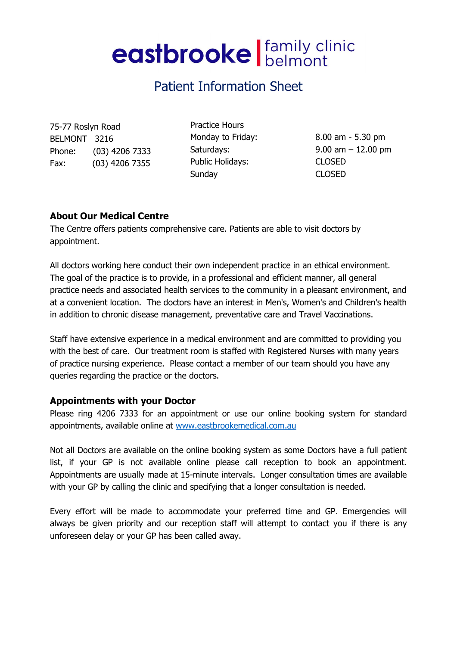# eastbrooke | family clinic

# Patient Information Sheet

75-77 Roslyn Road BELMONT 3216 Phone: (03) 4206 7333 Fax: (03) 4206 7355 Practice Hours Public Holidays: CLOSED Sunday CLOSED

Monday to Friday: 8.00 am - 5.30 pm Saturdays: 9.00 am – 12.00 pm

#### **About Our Medical Centre**

The Centre offers patients comprehensive care. Patients are able to visit doctors by appointment.

All doctors working here conduct their own independent practice in an ethical environment. The goal of the practice is to provide, in a professional and efficient manner, all general practice needs and associated health services to the community in a pleasant environment, and at a convenient location. The doctors have an interest in Men's, Women's and Children's health in addition to chronic disease management, preventative care and Travel Vaccinations.

Staff have extensive experience in a medical environment and are committed to providing you with the best of care. Our treatment room is staffed with Registered Nurses with many years of practice nursing experience. Please contact a member of our team should you have any queries regarding the practice or the doctors.

#### **Appointments with your Doctor**

Please ring 4206 7333 for an appointment or use our online booking system for standard appointments, available online at [www.eastbrookemedical.com.au](http://www.eastbrookemedical.com.au/)

Not all Doctors are available on the online booking system as some Doctors have a full patient list, if your GP is not available online please call reception to book an appointment. Appointments are usually made at 15-minute intervals. Longer consultation times are available with your GP by calling the clinic and specifying that a longer consultation is needed.

Every effort will be made to accommodate your preferred time and GP. Emergencies will always be given priority and our reception staff will attempt to contact you if there is any unforeseen delay or your GP has been called away.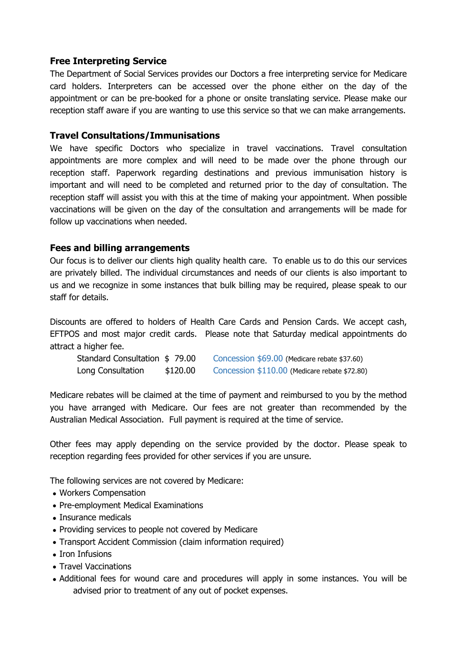#### **Free Interpreting Service**

The Department of Social Services provides our Doctors a free interpreting service for Medicare card holders. Interpreters can be accessed over the phone either on the day of the appointment or can be pre-booked for a phone or onsite translating service. Please make our reception staff aware if you are wanting to use this service so that we can make arrangements.

#### **Travel Consultations/Immunisations**

We have specific Doctors who specialize in travel vaccinations. Travel consultation appointments are more complex and will need to be made over the phone through our reception staff. Paperwork regarding destinations and previous immunisation history is important and will need to be completed and returned prior to the day of consultation. The reception staff will assist you with this at the time of making your appointment. When possible vaccinations will be given on the day of the consultation and arrangements will be made for follow up vaccinations when needed.

#### **Fees and billing arrangements**

Our focus is to deliver our clients high quality health care. To enable us to do this our services are privately billed. The individual circumstances and needs of our clients is also important to us and we recognize in some instances that bulk billing may be required, please speak to our staff for details.

Discounts are offered to holders of Health Care Cards and Pension Cards. We accept cash, EFTPOS and most major credit cards. Please note that Saturday medical appointments do attract a higher fee.

| Standard Consultation \$79.00 |          | Concession \$69.00 (Medicare rebate \$37.60)  |
|-------------------------------|----------|-----------------------------------------------|
| Long Consultation             | \$120.00 | Concession \$110.00 (Medicare rebate \$72.80) |

Medicare rebates will be claimed at the time of payment and reimbursed to you by the method you have arranged with Medicare. Our fees are not greater than recommended by the Australian Medical Association. Full payment is required at the time of service.

Other fees may apply depending on the service provided by the doctor. Please speak to reception regarding fees provided for other services if you are unsure.

The following services are not covered by Medicare:

- Workers Compensation
- Pre-employment Medical Examinations
- Insurance medicals
- Providing services to people not covered by Medicare
- Transport Accident Commission (claim information required)
- Iron Infusions
- Travel Vaccinations
- Additional fees for wound care and procedures will apply in some instances. You will be advised prior to treatment of any out of pocket expenses.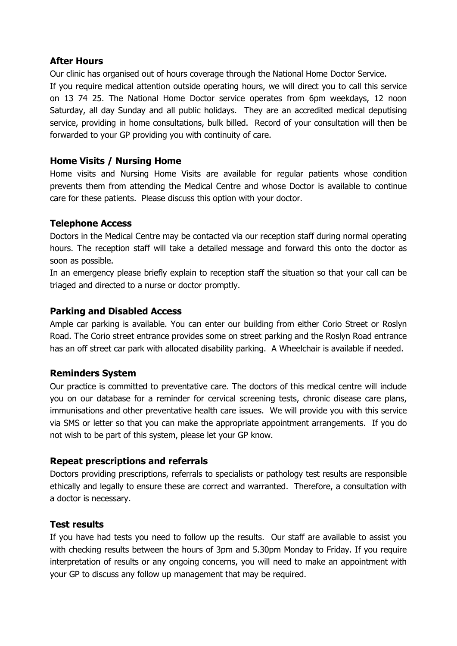#### **After Hours**

Our clinic has organised out of hours coverage through the National Home Doctor Service.

If you require medical attention outside operating hours, we will direct you to call this service on 13 74 25. The National Home Doctor service operates from 6pm weekdays, 12 noon Saturday, all day Sunday and all public holidays. They are an accredited medical deputising service, providing in home consultations, bulk billed. Record of your consultation will then be forwarded to your GP providing you with continuity of care.

#### **Home Visits / Nursing Home**

Home visits and Nursing Home Visits are available for regular patients whose condition prevents them from attending the Medical Centre and whose Doctor is available to continue care for these patients. Please discuss this option with your doctor.

#### **Telephone Access**

Doctors in the Medical Centre may be contacted via our reception staff during normal operating hours. The reception staff will take a detailed message and forward this onto the doctor as soon as possible.

In an emergency please briefly explain to reception staff the situation so that your call can be triaged and directed to a nurse or doctor promptly.

#### **Parking and Disabled Access**

Ample car parking is available. You can enter our building from either Corio Street or Roslyn Road. The Corio street entrance provides some on street parking and the Roslyn Road entrance has an off street car park with allocated disability parking. A Wheelchair is available if needed.

#### **Reminders System**

Our practice is committed to preventative care. The doctors of this medical centre will include you on our database for a reminder for cervical screening tests, chronic disease care plans, immunisations and other preventative health care issues. We will provide you with this service via SMS or letter so that you can make the appropriate appointment arrangements. If you do not wish to be part of this system, please let your GP know.

#### **Repeat prescriptions and referrals**

Doctors providing prescriptions, referrals to specialists or pathology test results are responsible ethically and legally to ensure these are correct and warranted. Therefore, a consultation with a doctor is necessary.

#### **Test results**

If you have had tests you need to follow up the results. Our staff are available to assist you with checking results between the hours of 3pm and 5.30pm Monday to Friday. If you require interpretation of results or any ongoing concerns, you will need to make an appointment with your GP to discuss any follow up management that may be required.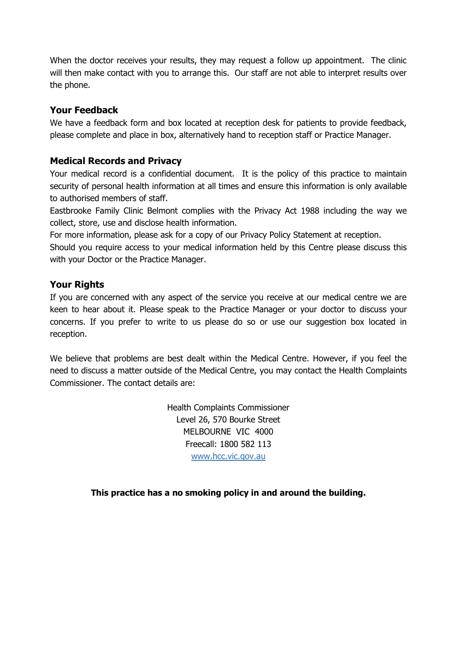When the doctor receives your results, they may request a follow up appointment. The clinic will then make contact with you to arrange this. Our staff are not able to interpret results over the phone.

#### **Your Feedback**

We have a feedback form and box located at reception desk for patients to provide feedback, please complete and place in box, alternatively hand to reception staff or Practice Manager.

#### **Medical Records and Privacy**

Your medical record is a confidential document. It is the policy of this practice to maintain security of personal health information at all times and ensure this information is only available to authorised members of staff.

Eastbrooke Family Clinic Belmont complies with the Privacy Act 1988 including the way we collect, store, use and disclose health information.

For more information, please ask for a copy of our Privacy Policy Statement at reception.

Should you require access to your medical information held by this Centre please discuss this with your Doctor or the Practice Manager.

### **Your Rights**

If you are concerned with any aspect of the service you receive at our medical centre we are keen to hear about it. Please speak to the Practice Manager or your doctor to discuss your concerns. If you prefer to write to us please do so or use our suggestion box located in reception.

We believe that problems are best dealt within the Medical Centre. However, if you feel the need to discuss a matter outside of the Medical Centre, you may contact the Health Complaints Commissioner. The contact details are:

> Health Complaints Commissioner Level 26, 570 Bourke Street MELBOURNE VIC 4000 Freecall: 1800 582 113 [www.hcc.vic.gov.au](http://www.hcc.vic.gov.au/)

**This practice has a no smoking policy in and around the building.**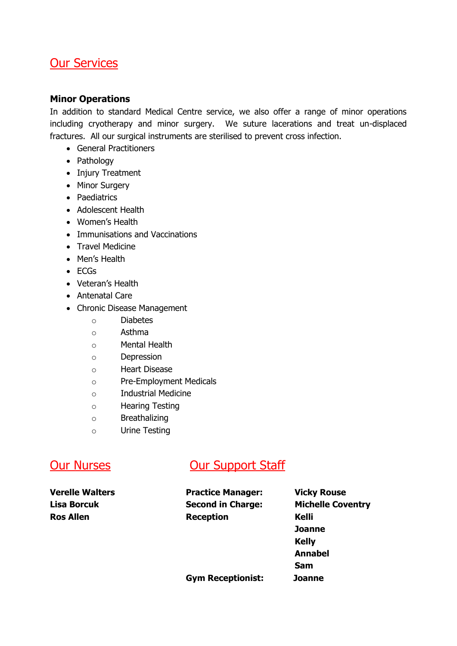# Our Services

#### **Minor Operations**

In addition to standard Medical Centre service, we also offer a range of minor operations including cryotherapy and minor surgery. We suture lacerations and treat un-displaced fractures. All our surgical instruments are sterilised to prevent cross infection.

- General Practitioners
- Pathology
- Injury Treatment
- Minor Surgery
- Paediatrics
- Adolescent Health
- Women's Health
- Immunisations and Vaccinations
- Travel Medicine
- Men's Health
- ECGs
- Veteran's Health
- Antenatal Care
- Chronic Disease Management
	- o Diabetes
	- o Asthma
	- o Mental Health
	- o Depression
	- o Heart Disease
	- o Pre-Employment Medicals
	- o Industrial Medicine
	- o Hearing Testing
	- o Breathalizing
	- o Urine Testing

# Our Nurses **Our Support Staff**

| <b>Verelle Walters</b> | <b>Practice Manager:</b> | <b>Vicky Rouse</b>       |
|------------------------|--------------------------|--------------------------|
| Lisa Borcuk            | <b>Second in Charge:</b> | <b>Michelle Coventry</b> |
| <b>Ros Allen</b>       | <b>Reception</b>         | Kelli                    |
|                        |                          | <b>Joanne</b>            |
|                        |                          | <b>Kelly</b>             |
|                        |                          | <b>Annabel</b>           |
|                        |                          | <b>Sam</b>               |
|                        | <b>Gym Receptionist:</b> | <b>Joanne</b>            |
|                        |                          |                          |